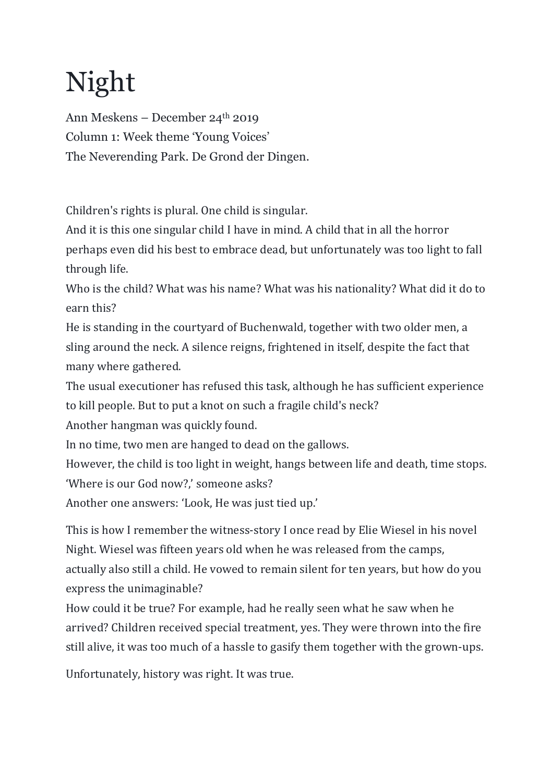## Night

Ann Meskens – December 24th 2019 Column 1: Week theme 'Young Voices' The Neverending Park. De Grond der Dingen.

Children's rights is plural. One child is singular.

And it is this one singular child I have in mind. A child that in all the horror perhaps even did his best to embrace dead, but unfortunately was too light to fall through life.

Who is the child? What was his name? What was his nationality? What did it do to earn this?

He is standing in the courtyard of Buchenwald, together with two older men, a sling around the neck. A silence reigns, frightened in itself, despite the fact that many where gathered.

The usual executioner has refused this task, although he has sufficient experience to kill people. But to put a knot on such a fragile child's neck?

Another hangman was quickly found.

In no time, two men are hanged to dead on the gallows.

However, the child is too light in weight, hangs between life and death, time stops. 'Where is our God now?,' someone asks?

Another one answers: 'Look, He was just tied up.'

This is how I remember the witness-story I once read by Elie Wiesel in his novel Night. Wiesel was fifteen years old when he was released from the camps, actually also still a child. He vowed to remain silent for ten years, but how do you express the unimaginable?

How could it be true? For example, had he really seen what he saw when he arrived? Children received special treatment, yes. They were thrown into the fire still alive, it was too much of a hassle to gasify them together with the grown-ups.

Unfortunately, history was right. It was true.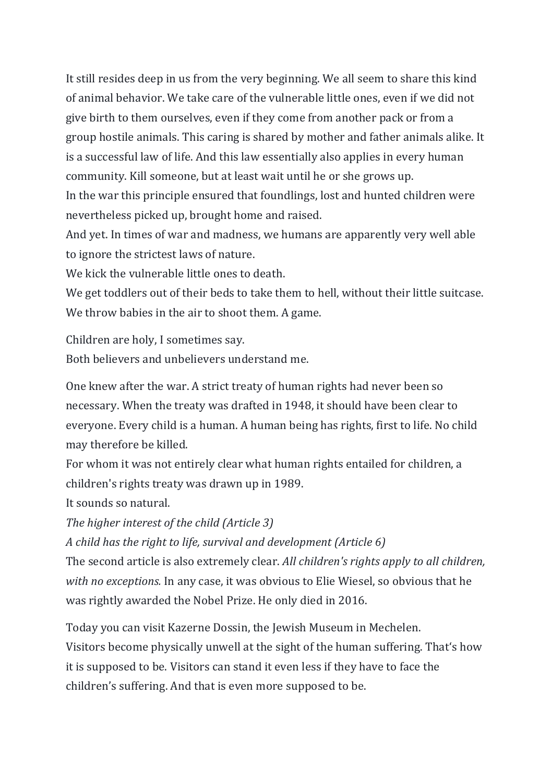It still resides deep in us from the very beginning. We all seem to share this kind of animal behavior. We take care of the vulnerable little ones, even if we did not give birth to them ourselves, even if they come from another pack or from a group hostile animals. This caring is shared by mother and father animals alike. It is a successful law of life. And this law essentially also applies in every human community. Kill someone, but at least wait until he or she grows up. In the war this principle ensured that foundlings, lost and hunted children were

nevertheless picked up, brought home and raised.

And yet. In times of war and madness, we humans are apparently very well able to ignore the strictest laws of nature.

We kick the vulnerable little ones to death.

We get toddlers out of their beds to take them to hell, without their little suitcase. We throw babies in the air to shoot them. A game.

Children are holy, I sometimes say.

Both believers and unbelievers understand me.

One knew after the war. A strict treaty of human rights had never been so necessary. When the treaty was drafted in 1948, it should have been clear to everyone. Every child is a human. A human being has rights, first to life. No child may therefore be killed.

For whom it was not entirely clear what human rights entailed for children, a children's rights treaty was drawn up in 1989.

It sounds so natural.

*The higher interest of the child (Article 3)* 

*A child has the right to life, survival and development (Article 6)* 

The second article is also extremely clear. *All children's rights apply to all children, with no exceptions.* In any case, it was obvious to Elie Wiesel, so obvious that he was rightly awarded the Nobel Prize. He only died in 2016.

Today you can visit Kazerne Dossin, the Jewish Museum in Mechelen. Visitors become physically unwell at the sight of the human suffering. That's how it is supposed to be. Visitors can stand it even less if they have to face the children's suffering. And that is even more supposed to be.